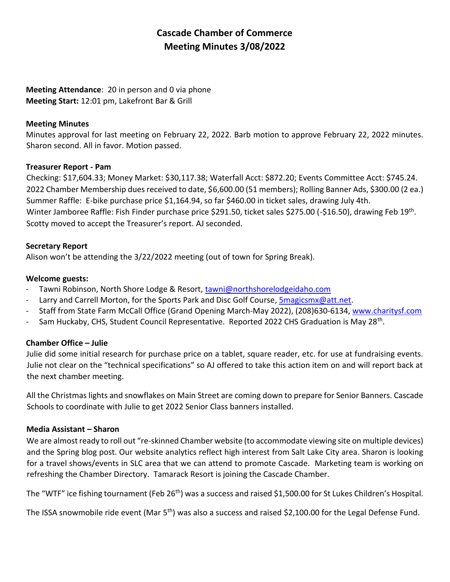# **Cascade Chamber of Commerce Meeting Minutes 3/08/2022**

## **Meeting Attendance**: 20 in person and 0 via phone **Meeting Start:** 12:01 pm, Lakefront Bar & Grill

#### **Meeting Minutes**

Minutes approval for last meeting on February 22, 2022. Barb motion to approve February 22, 2022 minutes. Sharon second. All in favor. Motion passed.

#### **Treasurer Report - Pam**

Checking: \$17,604.33; Money Market: \$30,117.38; Waterfall Acct: \$872.20; Events Committee Acct: \$745.24. 2022 Chamber Membership dues received to date, \$6,600.00 (51 members); Rolling Banner Ads, \$300.00 (2 ea.) Summer Raffle: E-bike purchase price \$1,164.94, so far \$460.00 in ticket sales, drawing July 4th. Winter Jamboree Raffle: Fish Finder purchase price \$291.50, ticket sales \$275.00 (-\$16.50), drawing Feb 19<sup>th</sup>. Scotty moved to accept the Treasurer's report. AJ seconded.

#### **Secretary Report**

Alison won't be attending the 3/22/2022 meeting (out of town for Spring Break).

### **Welcome guests:**

- Tawni Robinson, North Shore Lodge & Resort, [tawni@northshorelodgeidaho.com](mailto:tawni@northshorelodgeidaho.com)
- Larry and Carrell Morton, for the Sports Park and Disc Golf Course, [5magicsmx@att.net.](mailto:5magicsmx@att.net)
- Staff from State Farm McCall Office (Grand Opening March-May 2022), (208)630-6134, [www.charitysf.com](http://www.charitysf.com/)
- Sam Huckaby, CHS, Student Council Representative. Reported 2022 CHS Graduation is May 28<sup>th</sup>.

### **Chamber Office – Julie**

Julie did some initial research for purchase price on a tablet, square reader, etc. for use at fundraising events. Julie not clear on the "technical specifications" so AJ offered to take this action item on and will report back at the next chamber meeting.

All the Christmas lights and snowflakes on Main Street are coming down to prepare for Senior Banners. Cascade Schools to coordinate with Julie to get 2022 Senior Class banners installed.

### **Media Assistant – Sharon**

We are almost ready to roll out "re-skinned Chamber website (to accommodate viewing site on multiple devices) and the Spring blog post. Our website analytics reflect high interest from Salt Lake City area. Sharon is looking for a travel shows/events in SLC area that we can attend to promote Cascade. Marketing team is working on refreshing the Chamber Directory. Tamarack Resort is joining the Cascade Chamber.

The "WTF" ice fishing tournament (Feb 26<sup>th</sup>) was a success and raised \$1,500.00 for St Lukes Children's Hospital.

The ISSA snowmobile ride event (Mar 5<sup>th</sup>) was also a success and raised \$2,100.00 for the Legal Defense Fund.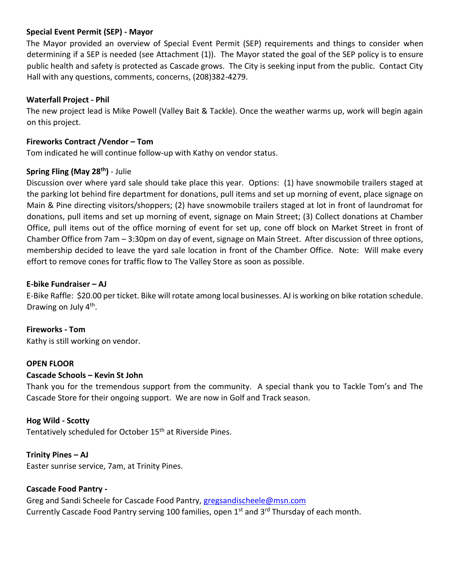### **Special Event Permit (SEP) - Mayor**

The Mayor provided an overview of Special Event Permit (SEP) requirements and things to consider when determining if a SEP is needed (see Attachment (1)). The Mayor stated the goal of the SEP policy is to ensure public health and safety is protected as Cascade grows. The City is seeking input from the public. Contact City Hall with any questions, comments, concerns, (208)382-4279.

### **Waterfall Project - Phil**

The new project lead is Mike Powell (Valley Bait & Tackle). Once the weather warms up, work will begin again on this project.

## **Fireworks Contract /Vendor – Tom**

Tom indicated he will continue follow-up with Kathy on vendor status.

### **Spring Fling (May 28th)** - Julie

Discussion over where yard sale should take place this year. Options: (1) have snowmobile trailers staged at the parking lot behind fire department for donations, pull items and set up morning of event, place signage on Main & Pine directing visitors/shoppers; (2) have snowmobile trailers staged at lot in front of laundromat for donations, pull items and set up morning of event, signage on Main Street; (3) Collect donations at Chamber Office, pull items out of the office morning of event for set up, cone off block on Market Street in front of Chamber Office from 7am – 3:30pm on day of event, signage on Main Street. After discussion of three options, membership decided to leave the yard sale location in front of the Chamber Office. Note: Will make every effort to remove cones for traffic flow to The Valley Store as soon as possible.

### **E-bike Fundraiser – AJ**

E-Bike Raffle: \$20.00 per ticket. Bike will rotate among local businesses. AJ is working on bike rotation schedule. Drawing on July 4<sup>th</sup>.

**Fireworks - Tom** Kathy is still working on vendor.

### **OPEN FLOOR**

### **Cascade Schools – Kevin St John**

Thank you for the tremendous support from the community. A special thank you to Tackle Tom's and The Cascade Store for their ongoing support. We are now in Golf and Track season.

**Hog Wild - Scotty**

Tentatively scheduled for October 15<sup>th</sup> at Riverside Pines.

### **Trinity Pines – AJ**

Easter sunrise service, 7am, at Trinity Pines.

### **Cascade Food Pantry -**

Greg and Sandi Scheele for Cascade Food Pantry, [gregsandischeele@msn.com](mailto:gregsandischeele@msn.com) Currently Cascade Food Pantry serving 100 families, open  $1^{st}$  and  $3^{rd}$  Thursday of each month.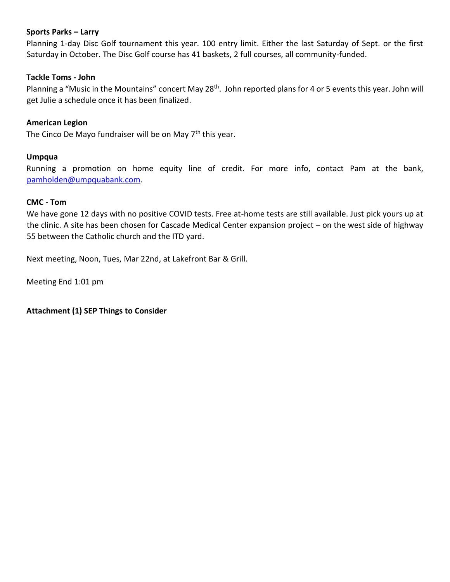#### **Sports Parks – Larry**

Planning 1-day Disc Golf tournament this year. 100 entry limit. Either the last Saturday of Sept. or the first Saturday in October. The Disc Golf course has 41 baskets, 2 full courses, all community-funded.

#### **Tackle Toms - John**

Planning a "Music in the Mountains" concert May 28<sup>th</sup>. John reported plans for 4 or 5 events this year. John will get Julie a schedule once it has been finalized.

#### **American Legion**

The Cinco De Mayo fundraiser will be on May 7<sup>th</sup> this year.

#### **Umpqua**

Running a promotion on home equity line of credit. For more info, contact Pam at the bank, [pamholden@umpquabank.com.](mailto:pamholden@umpquabank.com)

#### **CMC - Tom**

We have gone 12 days with no positive COVID tests. Free at-home tests are still available. Just pick yours up at the clinic. A site has been chosen for Cascade Medical Center expansion project – on the west side of highway 55 between the Catholic church and the ITD yard.

Next meeting, Noon, Tues, Mar 22nd, at Lakefront Bar & Grill.

Meeting End 1:01 pm

**Attachment (1) SEP Things to Consider**